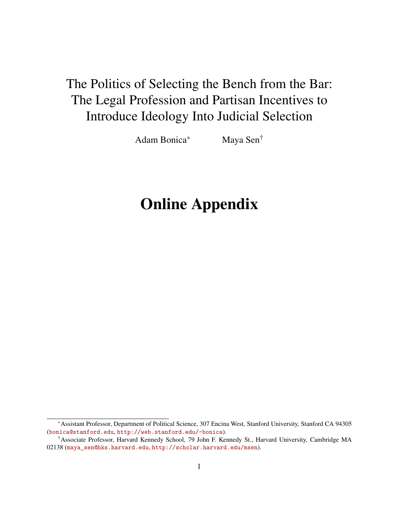# The Politics of Selecting the Bench from the Bar: The Legal Profession and Partisan Incentives to Introduce Ideology Into Judicial Selection

Adam Bonica<sup>\*</sup> Maya Sen<sup>†</sup>

# Online Appendix

<sup>∗</sup>Assistant Professor, Department of Political Science, 307 Encina West, Stanford University, Stanford CA 94305 ([bonica@stanford.edu](mailto:bonica@stanford.edu), <http://web.stanford.edu/~bonica>).

<sup>†</sup>Associate Professor, Harvard Kennedy School, 79 John F. Kennedy St., Harvard University, Cambridge MA 02138 ([maya\\_sen@hks.harvard.edu](mailto:maya_sen@hks.harvard.edu), <http://scholar.harvard.edu/msen>).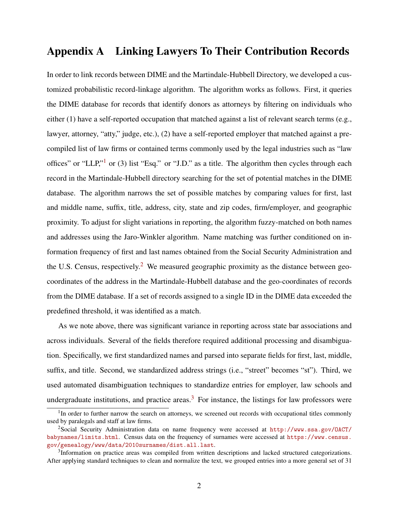#### Appendix A Linking Lawyers To Their Contribution Records

In order to link records between DIME and the Martindale-Hubbell Directory, we developed a customized probabilistic record-linkage algorithm. The algorithm works as follows. First, it queries the DIME database for records that identify donors as attorneys by filtering on individuals who either (1) have a self-reported occupation that matched against a list of relevant search terms (e.g., lawyer, attorney, "atty," judge, etc.), (2) have a self-reported employer that matched against a precompiled list of law firms or contained terms commonly used by the legal industries such as "law offices" or "LLP," $\frac{1}{1}$  $\frac{1}{1}$  $\frac{1}{1}$  or (3) list "Esq." or "J.D." as a title. The algorithm then cycles through each record in the Martindale-Hubbell directory searching for the set of potential matches in the DIME database. The algorithm narrows the set of possible matches by comparing values for first, last and middle name, suffix, title, address, city, state and zip codes, firm/employer, and geographic proximity. To adjust for slight variations in reporting, the algorithm fuzzy-matched on both names and addresses using the Jaro-Winkler algorithm. Name matching was further conditioned on information frequency of first and last names obtained from the Social Security Administration and the U.S. Census, respectively.<sup>[2](#page-1-1)</sup> We measured geographic proximity as the distance between geocoordinates of the address in the Martindale-Hubbell database and the geo-coordinates of records from the DIME database. If a set of records assigned to a single ID in the DIME data exceeded the predefined threshold, it was identified as a match.

As we note above, there was significant variance in reporting across state bar associations and across individuals. Several of the fields therefore required additional processing and disambiguation. Specifically, we first standardized names and parsed into separate fields for first, last, middle, suffix, and title. Second, we standardized address strings (i.e., "street" becomes "st"). Third, we used automated disambiguation techniques to standardize entries for employer, law schools and undergraduate institutions, and practice areas.<sup>[3](#page-1-2)</sup> For instance, the listings for law professors were

<span id="page-1-0"></span><sup>&</sup>lt;sup>1</sup>In order to further narrow the search on attorneys, we screened out records with occupational titles commonly used by paralegals and staff at law firms.

<span id="page-1-1"></span><sup>2</sup>Social Security Administration data on name frequency were accessed at [http://www.ssa.gov/OACT/](http://www.ssa.gov/OACT/babynames/limits.html) [babynames/limits.html](http://www.ssa.gov/OACT/babynames/limits.html). Census data on the frequency of surnames were accessed at [https://www.census.](https://www.census.gov/genealogy/www/data/2010surnames/dist.all.last) [gov/genealogy/www/data/2010surnames/dist.all.last](https://www.census.gov/genealogy/www/data/2010surnames/dist.all.last).

<span id="page-1-2"></span><sup>&</sup>lt;sup>3</sup>Information on practice areas was compiled from written descriptions and lacked structured categorizations. After applying standard techniques to clean and normalize the text, we grouped entries into a more general set of 31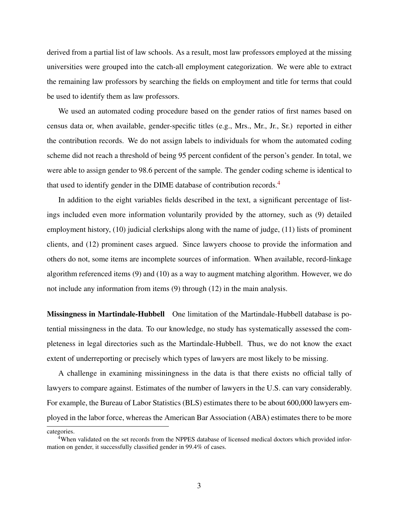derived from a partial list of law schools. As a result, most law professors employed at the missing universities were grouped into the catch-all employment categorization. We were able to extract the remaining law professors by searching the fields on employment and title for terms that could be used to identify them as law professors.

We used an automated coding procedure based on the gender ratios of first names based on census data or, when available, gender-specific titles (e.g., Mrs., Mr., Jr., Sr.) reported in either the contribution records. We do not assign labels to individuals for whom the automated coding scheme did not reach a threshold of being 95 percent confident of the person's gender. In total, we were able to assign gender to 98.6 percent of the sample. The gender coding scheme is identical to that used to identify gender in the DIME database of contribution records.<sup>[4](#page-2-0)</sup>

In addition to the eight variables fields described in the text, a significant percentage of listings included even more information voluntarily provided by the attorney, such as (9) detailed employment history, (10) judicial clerkships along with the name of judge, (11) lists of prominent clients, and (12) prominent cases argued. Since lawyers choose to provide the information and others do not, some items are incomplete sources of information. When available, record-linkage algorithm referenced items (9) and (10) as a way to augment matching algorithm. However, we do not include any information from items (9) through (12) in the main analysis.

Missingness in Martindale-Hubbell One limitation of the Martindale-Hubbell database is potential missingness in the data. To our knowledge, no study has systematically assessed the completeness in legal directories such as the Martindale-Hubbell. Thus, we do not know the exact extent of underreporting or precisely which types of lawyers are most likely to be missing.

A challenge in examining missiningness in the data is that there exists no official tally of lawyers to compare against. Estimates of the number of lawyers in the U.S. can vary considerably. For example, the Bureau of Labor Statistics (BLS) estimates there to be about 600,000 lawyers employed in the labor force, whereas the American Bar Association (ABA) estimates there to be more

categories.

<span id="page-2-0"></span><sup>4</sup>When validated on the set records from the NPPES database of licensed medical doctors which provided information on gender, it successfully classified gender in 99.4% of cases.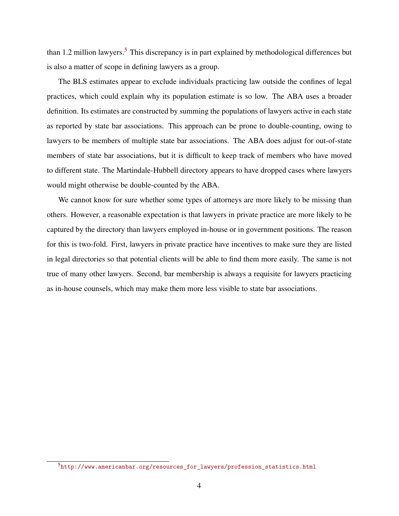than 1.2 million lawyers.<sup>[5](#page-3-0)</sup> This discrepancy is in part explained by methodological differences but is also a matter of scope in defining lawyers as a group.

The BLS estimates appear to exclude individuals practicing law outside the confines of legal practices, which could explain why its population estimate is so low. The ABA uses a broader definition. Its estimates are constructed by summing the populations of lawyers active in each state as reported by state bar associations. This approach can be prone to double-counting, owing to lawyers to be members of multiple state bar associations. The ABA does adjust for out-of-state members of state bar associations, but it is difficult to keep track of members who have moved to different state. The Martindale-Hubbell directory appears to have dropped cases where lawyers would might otherwise be double-counted by the ABA.

We cannot know for sure whether some types of attorneys are more likely to be missing than others. However, a reasonable expectation is that lawyers in private practice are more likely to be captured by the directory than lawyers employed in-house or in government positions. The reason for this is two-fold. First, lawyers in private practice have incentives to make sure they are listed in legal directories so that potential clients will be able to find them more easily. The same is not true of many other lawyers. Second, bar membership is always a requisite for lawyers practicing as in-house counsels, which may make them more less visible to state bar associations.

<span id="page-3-0"></span> $5$ http://www.americanbar.org/resources for lawyers/profession statistics.html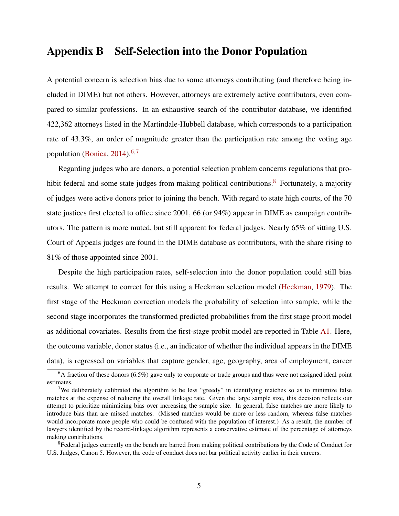#### Appendix B Self-Selection into the Donor Population

A potential concern is selection bias due to some attorneys contributing (and therefore being included in DIME) but not others. However, attorneys are extremely active contributors, even compared to similar professions. In an exhaustive search of the contributor database, we identified 422,362 attorneys listed in the Martindale-Hubbell database, which corresponds to a participation rate of 43.3%, an order of magnitude greater than the participation rate among the voting age population [\(Bonica,](#page-26-0) [2014\)](#page-26-0). $6,7$  $6,7$ 

Regarding judges who are donors, a potential selection problem concerns regulations that pro-hibit federal and some state judges from making political contributions.<sup>[8](#page-4-2)</sup> Fortunately, a majority of judges were active donors prior to joining the bench. With regard to state high courts, of the 70 state justices first elected to office since 2001, 66 (or 94%) appear in DIME as campaign contributors. The pattern is more muted, but still apparent for federal judges. Nearly 65% of sitting U.S. Court of Appeals judges are found in the DIME database as contributors, with the share rising to 81% of those appointed since 2001.

Despite the high participation rates, self-selection into the donor population could still bias results. We attempt to correct for this using a Heckman selection model [\(Heckman,](#page-26-1) [1979\)](#page-26-1). The first stage of the Heckman correction models the probability of selection into sample, while the second stage incorporates the transformed predicted probabilities from the first stage probit model as additional covariates. Results from the first-stage probit model are reported in Table [A1.](#page-6-0) Here, the outcome variable, donor status (i.e., an indicator of whether the individual appears in the DIME data), is regressed on variables that capture gender, age, geography, area of employment, career

<span id="page-4-0"></span> $6A$  fraction of these donors (6.5%) gave only to corporate or trade groups and thus were not assigned ideal point estimates.

<span id="page-4-1"></span><sup>&</sup>lt;sup>7</sup>We deliberately calibrated the algorithm to be less "greedy" in identifying matches so as to minimize false matches at the expense of reducing the overall linkage rate. Given the large sample size, this decision reflects our attempt to prioritize minimizing bias over increasing the sample size. In general, false matches are more likely to introduce bias than are missed matches. (Missed matches would be more or less random, whereas false matches would incorporate more people who could be confused with the population of interest.) As a result, the number of lawyers identified by the record-linkage algorithm represents a conservative estimate of the percentage of attorneys making contributions.

<span id="page-4-2"></span><sup>&</sup>lt;sup>8</sup>Federal judges currently on the bench are barred from making political contributions by the Code of Conduct for U.S. Judges, Canon 5. However, the code of conduct does not bar political activity earlier in their careers.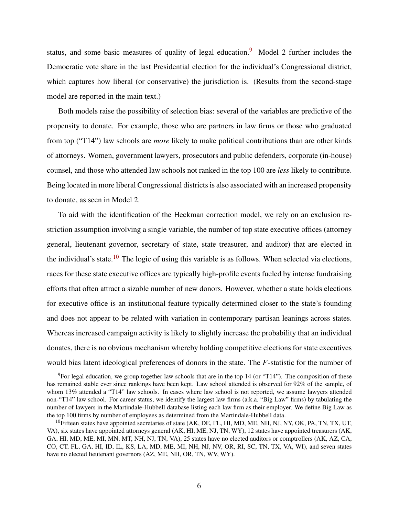status, and some basic measures of quality of legal education.<sup>[9](#page-5-0)</sup> Model 2 further includes the Democratic vote share in the last Presidential election for the individual's Congressional district, which captures how liberal (or conservative) the jurisdiction is. (Results from the second-stage model are reported in the main text.)

Both models raise the possibility of selection bias: several of the variables are predictive of the propensity to donate. For example, those who are partners in law firms or those who graduated from top ("T14") law schools are *more* likely to make political contributions than are other kinds of attorneys. Women, government lawyers, prosecutors and public defenders, corporate (in-house) counsel, and those who attended law schools not ranked in the top 100 are *less* likely to contribute. Being located in more liberal Congressional districts is also associated with an increased propensity to donate, as seen in Model 2.

To aid with the identification of the Heckman correction model, we rely on an exclusion restriction assumption involving a single variable, the number of top state executive offices (attorney general, lieutenant governor, secretary of state, state treasurer, and auditor) that are elected in the individual's state.<sup>[10](#page-5-1)</sup> The logic of using this variable is as follows. When selected via elections, races for these state executive offices are typically high-profile events fueled by intense fundraising efforts that often attract a sizable number of new donors. However, whether a state holds elections for executive office is an institutional feature typically determined closer to the state's founding and does not appear to be related with variation in contemporary partisan leanings across states. Whereas increased campaign activity is likely to slightly increase the probability that an individual donates, there is no obvious mechanism whereby holding competitive elections for state executives would bias latent ideological preferences of donors in the state. The *F*-statistic for the number of

<span id="page-5-0"></span> $9^9$ For legal education, we group together law schools that are in the top 14 (or "T14"). The composition of these has remained stable ever since rankings have been kept. Law school attended is observed for 92% of the sample, of whom 13% attended a "T14" law schools. In cases where law school is not reported, we assume lawyers attended non-"T14" law school. For career status, we identify the largest law firms (a.k.a. "Big Law" firms) by tabulating the number of lawyers in the Martindale-Hubbell database listing each law firm as their employer. We define Big Law as the top 100 firms by number of employees as determined from the Martindale-Hubbell data.

<span id="page-5-1"></span> $10$ Fifteen states have appointed secretaries of state (AK, DE, FL, HI, MD, ME, NH, NJ, NY, OK, PA, TN, TX, UT, VA), six states have appointed attorneys general (AK, HI, ME, NJ, TN, WY), 12 states have appointed treasurers (AK, GA, HI, MD, ME, MI, MN, MT, NH, NJ, TN, VA), 25 states have no elected auditors or comptrollers (AK, AZ, CA, CO, CT, FL, GA, HI, ID, IL, KS, LA, MD, ME, MI, NH, NJ, NV, OR, RI, SC, TN, TX, VA, WI), and seven states have no elected lieutenant governors (AZ, ME, NH, OR, TN, WV, WY).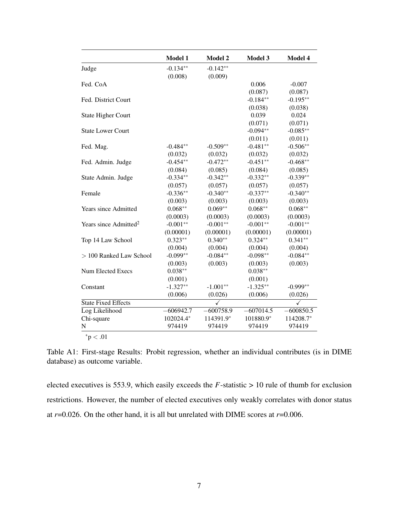<span id="page-6-0"></span>

|                                   | Model 1     | Model 2      | Model 3     | Model 4     |
|-----------------------------------|-------------|--------------|-------------|-------------|
| Judge                             | $-0.134**$  | $-0.142**$   |             |             |
|                                   | (0.008)     | (0.009)      |             |             |
| Fed. CoA                          |             |              | 0.006       | $-0.007$    |
|                                   |             |              | (0.087)     | (0.087)     |
| Fed. District Court               |             |              | $-0.184**$  | $-0.195**$  |
|                                   |             |              | (0.038)     | (0.038)     |
| <b>State Higher Court</b>         |             |              | 0.039       | 0.024       |
|                                   |             |              | (0.071)     | (0.071)     |
| <b>State Lower Court</b>          |             |              | $-0.094**$  | $-0.085**$  |
|                                   |             |              | (0.011)     | (0.011)     |
| Fed. Mag.                         | $-0.484**$  | $-0.509**$   | $-0.481**$  | $-0.506**$  |
|                                   | (0.032)     | (0.032)      | (0.032)     | (0.032)     |
| Fed. Admin. Judge                 | $-0.454**$  | $-0.472**$   | $-0.451**$  | $-0.468**$  |
|                                   | (0.084)     | (0.085)      | (0.084)     | (0.085)     |
| State Admin. Judge                | $-0.334**$  | $-0.342**$   | $-0.332**$  | $-0.339**$  |
|                                   | (0.057)     | (0.057)      | (0.057)     | (0.057)     |
| Female                            | $-0.336**$  | $-0.340**$   | $-0.337**$  | $-0.340**$  |
|                                   | (0.003)     | (0.003)      | (0.003)     | (0.003)     |
| <b>Years since Admitted</b>       | $0.068**$   | $0.069**$    | $0.068**$   | $0.068**$   |
|                                   | (0.0003)    | (0.0003)     | (0.0003)    | (0.0003)    |
| Years since Admitted <sup>2</sup> | $-0.001**$  | $-0.001**$   | $-0.001**$  | $-0.001**$  |
|                                   | (0.00001)   | (0.00001)    | (0.00001)   | (0.00001)   |
| Top 14 Law School                 | $0.323**$   | $0.340**$    | $0.324**$   | $0.341**$   |
|                                   | (0.004)     | (0.004)      | (0.004)     | (0.004)     |
| > 100 Ranked Law School           | $-0.099**$  | $-0.084**$   | $-0.098**$  | $-0.084**$  |
|                                   | (0.003)     | (0.003)      | (0.003)     | (0.003)     |
| <b>Num Elected Execs</b>          | $0.038**$   |              | $0.038**$   |             |
|                                   | (0.001)     |              | (0.001)     |             |
| Constant                          | $-1.327**$  | $-1.001**$   | $-1.325**$  | $-0.999**$  |
|                                   | (0.006)     | (0.026)      | (0.006)     | (0.026)     |
| <b>State Fixed Effects</b>        |             | $\checkmark$ |             | ✓           |
| Log Likelihood                    | $-606942.7$ | $-600758.9$  | $-607014.5$ | $-600850.5$ |
| Chi-square                        | 102024.4*   | 114391.9*    | 101880.9*   | 114208.7*   |
| $\mathbf N$                       | 974419      | 974419       | 974419      | 974419      |

Table A1: First-stage Results: Probit regression, whether an individual contributes (is in DIME database) as outcome variable.

elected executives is 553.9, which easily exceeds the  $F$ -statistic  $> 10$  rule of thumb for exclusion restrictions. However, the number of elected executives only weakly correlates with donor status at  $r=0.026$ . On the other hand, it is all but unrelated with DIME scores at  $r=0.006$ .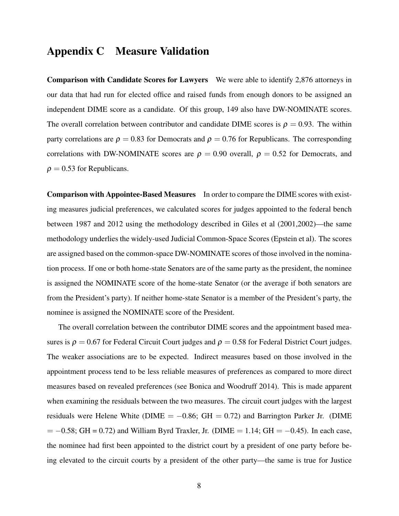#### Appendix C Measure Validation

Comparison with Candidate Scores for Lawyers We were able to identify 2,876 attorneys in our data that had run for elected office and raised funds from enough donors to be assigned an independent DIME score as a candidate. Of this group, 149 also have DW-NOMINATE scores. The overall correlation between contributor and candidate DIME scores is  $\rho = 0.93$ . The within party correlations are  $\rho = 0.83$  for Democrats and  $\rho = 0.76$  for Republicans. The corresponding correlations with DW-NOMINATE scores are  $\rho = 0.90$  overall,  $\rho = 0.52$  for Democrats, and  $\rho = 0.53$  for Republicans.

Comparison with Appointee-Based Measures In order to compare the DIME scores with existing measures judicial preferences, we calculated scores for judges appointed to the federal bench between 1987 and 2012 using the methodology described in Giles et al (2001,2002)—the same methodology underlies the widely-used Judicial Common-Space Scores (Epstein et al). The scores are assigned based on the common-space DW-NOMINATE scores of those involved in the nomination process. If one or both home-state Senators are of the same party as the president, the nominee is assigned the NOMINATE score of the home-state Senator (or the average if both senators are from the President's party). If neither home-state Senator is a member of the President's party, the nominee is assigned the NOMINATE score of the President.

The overall correlation between the contributor DIME scores and the appointment based measures is  $\rho = 0.67$  for Federal Circuit Court judges and  $\rho = 0.58$  for Federal District Court judges. The weaker associations are to be expected. Indirect measures based on those involved in the appointment process tend to be less reliable measures of preferences as compared to more direct measures based on revealed preferences (see Bonica and Woodruff 2014). This is made apparent when examining the residuals between the two measures. The circuit court judges with the largest residuals were Helene White (DIME =  $-0.86$ ; GH = 0.72) and Barrington Parker Jr. (DIME  $= -0.58$ ; GH = 0.72) and William Byrd Traxler, Jr. (DIME = 1.14; GH =  $-0.45$ ). In each case, the nominee had first been appointed to the district court by a president of one party before being elevated to the circuit courts by a president of the other party—the same is true for Justice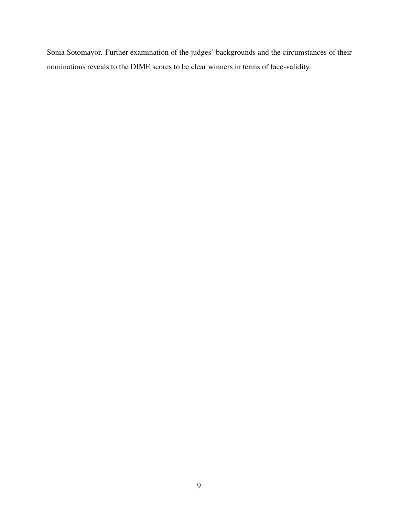Sonia Sotomayor. Further examination of the judges' backgrounds and the circumstances of their nominations reveals to the DIME scores to be clear winners in terms of face-validity.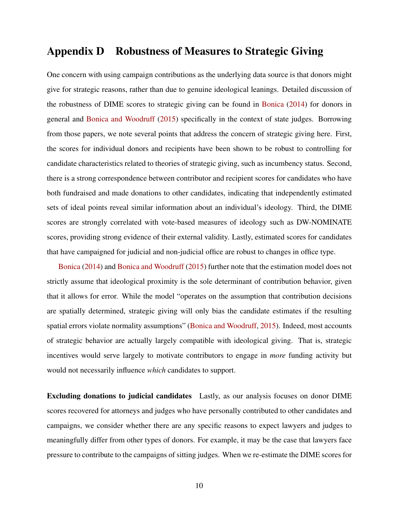#### Appendix D Robustness of Measures to Strategic Giving

One concern with using campaign contributions as the underlying data source is that donors might give for strategic reasons, rather than due to genuine ideological leanings. Detailed discussion of the robustness of DIME scores to strategic giving can be found in [Bonica](#page-26-0) [\(2014\)](#page-26-0) for donors in general and [Bonica and Woodruff](#page-26-2) [\(2015\)](#page-26-2) specifically in the context of state judges. Borrowing from those papers, we note several points that address the concern of strategic giving here. First, the scores for individual donors and recipients have been shown to be robust to controlling for candidate characteristics related to theories of strategic giving, such as incumbency status. Second, there is a strong correspondence between contributor and recipient scores for candidates who have both fundraised and made donations to other candidates, indicating that independently estimated sets of ideal points reveal similar information about an individual's ideology. Third, the DIME scores are strongly correlated with vote-based measures of ideology such as DW-NOMINATE scores, providing strong evidence of their external validity. Lastly, estimated scores for candidates that have campaigned for judicial and non-judicial office are robust to changes in office type.

[Bonica](#page-26-0) [\(2014\)](#page-26-0) and [Bonica and Woodruff](#page-26-2) [\(2015\)](#page-26-2) further note that the estimation model does not strictly assume that ideological proximity is the sole determinant of contribution behavior, given that it allows for error. While the model "operates on the assumption that contribution decisions are spatially determined, strategic giving will only bias the candidate estimates if the resulting spatial errors violate normality assumptions" [\(Bonica and Woodruff,](#page-26-2) [2015\)](#page-26-2). Indeed, most accounts of strategic behavior are actually largely compatible with ideological giving. That is, strategic incentives would serve largely to motivate contributors to engage in *more* funding activity but would not necessarily influence *which* candidates to support.

Excluding donations to judicial candidates Lastly, as our analysis focuses on donor DIME scores recovered for attorneys and judges who have personally contributed to other candidates and campaigns, we consider whether there are any specific reasons to expect lawyers and judges to meaningfully differ from other types of donors. For example, it may be the case that lawyers face pressure to contribute to the campaigns of sitting judges. When we re-estimate the DIME scores for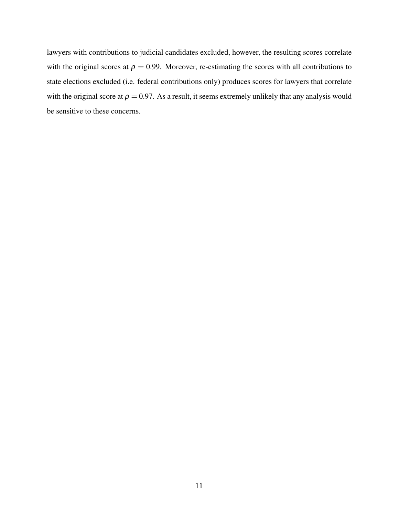lawyers with contributions to judicial candidates excluded, however, the resulting scores correlate with the original scores at  $\rho = 0.99$ . Moreover, re-estimating the scores with all contributions to state elections excluded (i.e. federal contributions only) produces scores for lawyers that correlate with the original score at  $\rho = 0.97$ . As a result, it seems extremely unlikely that any analysis would be sensitive to these concerns.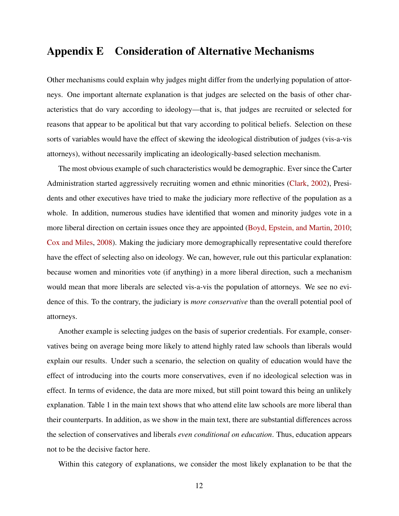#### Appendix E Consideration of Alternative Mechanisms

Other mechanisms could explain why judges might differ from the underlying population of attorneys. One important alternate explanation is that judges are selected on the basis of other characteristics that do vary according to ideology—that is, that judges are recruited or selected for reasons that appear to be apolitical but that vary according to political beliefs. Selection on these sorts of variables would have the effect of skewing the ideological distribution of judges (vis-a-vis attorneys), without necessarily implicating an ideologically-based selection mechanism.

The most obvious example of such characteristics would be demographic. Ever since the Carter Administration started aggressively recruiting women and ethnic minorities [\(Clark,](#page-26-3) [2002\)](#page-26-3), Presidents and other executives have tried to make the judiciary more reflective of the population as a whole. In addition, numerous studies have identified that women and minority judges vote in a more liberal direction on certain issues once they are appointed [\(Boyd, Epstein, and Martin,](#page-26-4) [2010;](#page-26-4) [Cox and Miles,](#page-26-5) [2008\)](#page-26-5). Making the judiciary more demographically representative could therefore have the effect of selecting also on ideology. We can, however, rule out this particular explanation: because women and minorities vote (if anything) in a more liberal direction, such a mechanism would mean that more liberals are selected vis-a-vis the population of attorneys. We see no evidence of this. To the contrary, the judiciary is *more conservative* than the overall potential pool of attorneys.

Another example is selecting judges on the basis of superior credentials. For example, conservatives being on average being more likely to attend highly rated law schools than liberals would explain our results. Under such a scenario, the selection on quality of education would have the effect of introducing into the courts more conservatives, even if no ideological selection was in effect. In terms of evidence, the data are more mixed, but still point toward this being an unlikely explanation. Table 1 in the main text shows that who attend elite law schools are more liberal than their counterparts. In addition, as we show in the main text, there are substantial differences across the selection of conservatives and liberals *even conditional on education*. Thus, education appears not to be the decisive factor here.

Within this category of explanations, we consider the most likely explanation to be that the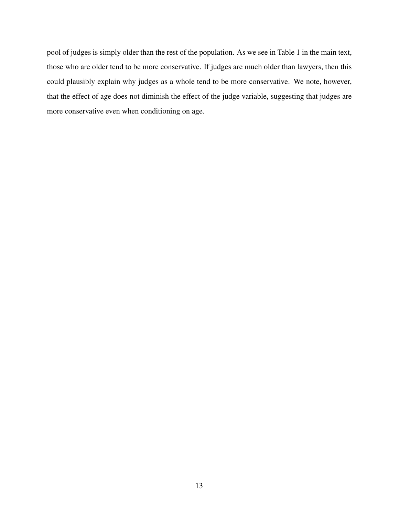pool of judges is simply older than the rest of the population. As we see in Table 1 in the main text, those who are older tend to be more conservative. If judges are much older than lawyers, then this could plausibly explain why judges as a whole tend to be more conservative. We note, however, that the effect of age does not diminish the effect of the judge variable, suggesting that judges are more conservative even when conditioning on age.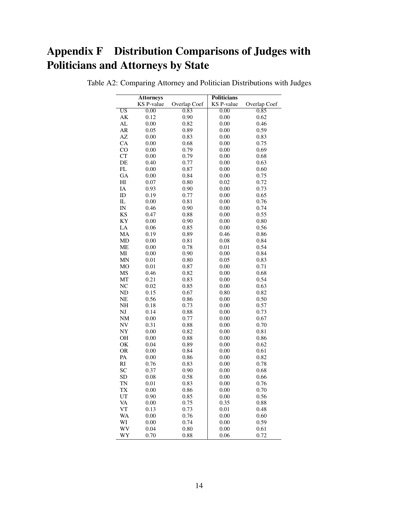# Appendix F Distribution Comparisons of Judges with Politicians and Attorneys by State

|                            | <b>Attorneys</b>  |              | <b>Politicians</b> |              |
|----------------------------|-------------------|--------------|--------------------|--------------|
|                            | <b>KS P-value</b> | Overlap Coef | <b>KS</b> P-value  | Overlap Coef |
| $\overline{US}$            | 0.00              | 0.83         | 0.00               | 0.85         |
| AK                         | 0.12              | 0.90         | 0.00               | 0.62         |
| AL                         | 0.00              | 0.82         | 0.00               | 0.46         |
| AR                         | 0.05              | 0.89         | 0.00               | 0.59         |
| AZ                         | 0.00              | 0.83         | 0.00               | 0.83         |
| CA                         | 0.00              | 0.68         | 0.00               | 0.75         |
| CO                         | 0.00              | 0.79         | 0.00               | 0.69         |
| CT                         | 0.00              | 0.79         | 0.00               | 0.68         |
| DE                         | 0.40              | 0.77         | 0.00               | 0.63         |
| $\mathop{\rm FL}\nolimits$ | 0.00              | 0.87         | 0.00               | 0.60         |
| ${\rm GA}$                 | 0.00              | 0.84         | 0.00               | 0.75         |
| H <sub>I</sub>             | 0.07              | 0.80         | 0.02               | 0.72         |
| IA                         | 0.93              | 0.90         | 0.00               | 0.73         |
| ID                         | 0.19              | 0.77         | 0.00               | 0.65         |
| IL                         | 0.00              | 0.81         | 0.00               | 0.76         |
| IN                         | 0.46              | 0.90         | 0.00               | 0.74         |
| KS                         | 0.47              | 0.88         | 0.00               | 0.55         |
| KY                         | 0.00              | 0.90         | 0.00               | 0.80         |
| ${\rm LA}$                 | 0.06              | 0.85         | 0.00               | 0.56         |
| MA                         | 0.19              | 0.89         | 0.46               | 0.86         |
| MD                         | 0.00              | 0.81         | 0.08               | 0.84         |
| ME                         | 0.00              | 0.78         | 0.01               | 0.54         |
| MI                         | 0.00              | 0.90         | 0.00               | 0.84         |
| MN                         | 0.01              | 0.80         | 0.05               | 0.83         |
| MO                         | 0.01              | 0.87         | 0.00               | 0.71         |
|                            |                   |              |                    |              |
| MS                         | 0.46              | 0.82         | 0.00               | 0.68         |
| MT                         | 0.21<br>0.02      | 0.83         | 0.00               | 0.54         |
| NC                         |                   | 0.85         | 0.00               | 0.63         |
| ND                         | 0.15              | 0.67         | 0.80               | 0.82         |
| NE                         | 0.56              | 0.86         | 0.00               | 0.50         |
| NH                         | 0.18              | 0.73         | 0.00               | 0.57         |
| NJ                         | 0.14              | 0.88         | 0.00               | 0.73         |
| NM                         | 0.00              | 0.77         | 0.00               | 0.67         |
| NV                         | 0.31              | 0.88         | 0.00               | 0.70         |
| NY                         | 0.00              | 0.82         | 0.00               | 0.81         |
| OH                         | 0.00              | 0.88         | 0.00               | 0.86         |
| OK                         | 0.04              | 0.89         | 0.00               | 0.62         |
| <b>OR</b>                  | 0.00              | 0.84         | 0.00               | 0.61         |
| PA                         | 0.00              | 0.86         | 0.00               | 0.82         |
| RI                         | 0.76              | 0.83         | 0.00               | 0.78         |
| SC                         | 0.37              | 0.90         | 0.00               | 0.68         |
| <b>SD</b>                  | 0.08              | 0.58         | 0.00               | 0.66         |
| TN                         | 0.01              | 0.83         | 0.00               | 0.76         |
| TХ                         | 0.00              | 0.86         | 0.00               | 0.70         |
| UT                         | 0.90              | 0.85         | 0.00               | 0.56         |
| VA                         | 0.00              | 0.75         | 0.35               | 0.88         |
| VT                         | 0.13              | 0.73         | 0.01               | 0.48         |
| WA                         | 0.00              | 0.76         | 0.00               | 0.60         |
| WI                         | 0.00              | 0.74         | 0.00               | 0.59         |
| WV                         | 0.04              | 0.80         | 0.00               | 0.61         |
| WY                         | 0.70              | 0.88         | 0.06               | 0.72         |

Table A2: Comparing Attorney and Politician Distributions with Judges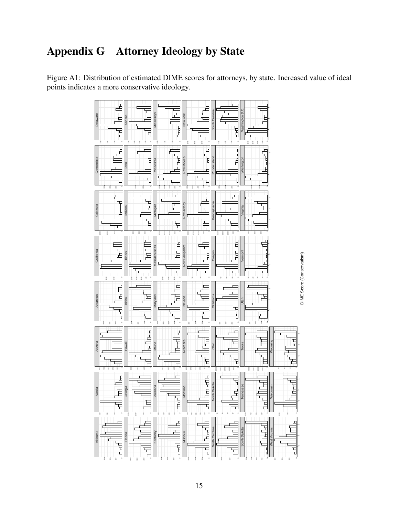## Appendix G Attorney Ideology by State

Figure A1: Distribution of estimated DIME scores for attorneys, by state. Increased value of ideal points indicates a more conservative ideology.

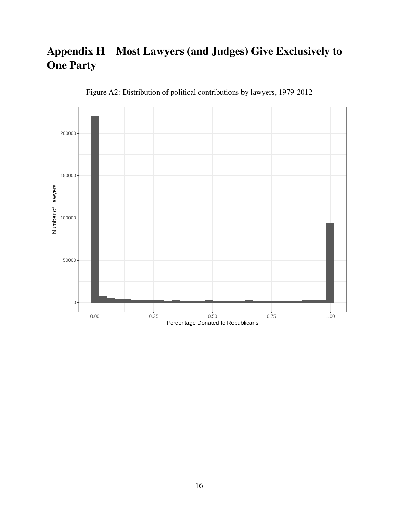## Appendix H Most Lawyers (and Judges) Give Exclusively to One Party



Figure A2: Distribution of political contributions by lawyers, 1979-2012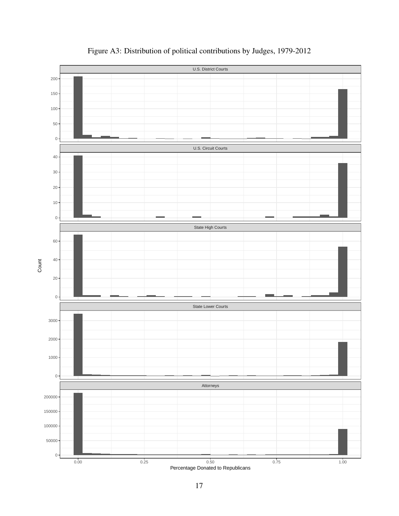

Figure A3: Distribution of political contributions by Judges, 1979-2012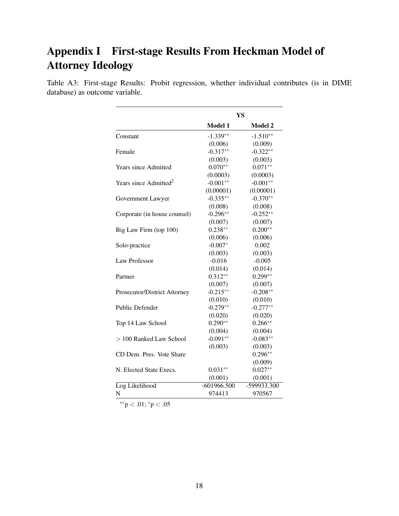### Appendix I First-stage Results From Heckman Model of Attorney Ideology

Table A3: First-stage Results: Probit regression, whether individual contributes (is in DIME database) as outcome variable.

|                                   |               | YS          |
|-----------------------------------|---------------|-------------|
|                                   | Model 1       | Model 2     |
| Constant                          | $-1.339**$    | $-1.510**$  |
|                                   | (0.006)       | (0.009)     |
| Female                            | $-0.317**$    | $-0.322**$  |
|                                   | (0.003)       | (0.003)     |
| <b>Years since Admitted</b>       | $0.070**$     | $0.071**$   |
|                                   | (0.0003)      | (0.0003)    |
| Years since Admitted <sup>2</sup> | $-0.001**$    | $-0.001**$  |
|                                   | (0.00001)     | (0.00001)   |
| Government Lawyer                 | $-0.335**$    | $-0.370**$  |
|                                   | (0.008)       | (0.008)     |
| Corporate (in house counsel)      | $-0.296**$    | $-0.252**$  |
|                                   | (0.007)       | (0.007)     |
| Big Law Firm (top 100)            | $0.238**$     | $0.200**$   |
|                                   | (0.006)       | (0.006)     |
| Solo-practice                     | $-0.007*$     | 0.002       |
|                                   | (0.003)       | (0.003)     |
| <b>Law Professor</b>              | $-0.016$      | $-0.005$    |
|                                   | (0.014)       | (0.014)     |
| Partner                           | $0.312**$     | $0.299**$   |
|                                   | (0.007)       | (0.007)     |
| Prosecutor/District Attorney      | $-0.215**$    | $-0.208**$  |
|                                   | (0.010)       | (0.010)     |
| Public Defender                   | $-0.279**$    | $-0.277**$  |
|                                   | (0.020)       | (0.020)     |
| Top 14 Law School                 | $0.290**$     | $0.266**$   |
|                                   | (0.004)       | (0.004)     |
| $> 100$ Ranked Law School         | $-0.091**$    | $-0.083**$  |
|                                   | (0.003)       | (0.003)     |
| CD Dem. Pres. Vote Share          |               | $0.296**$   |
|                                   |               | (0.009)     |
| N. Elected State Execs.           | $0.031**$     | $0.027**$   |
|                                   | (0.001)       | (0.001)     |
| Log Likelihood                    | $-601966.500$ | -599933.300 |
| N                                 | 974413        | 970567      |

 $^{**}p<.01;$   $^*p<.05$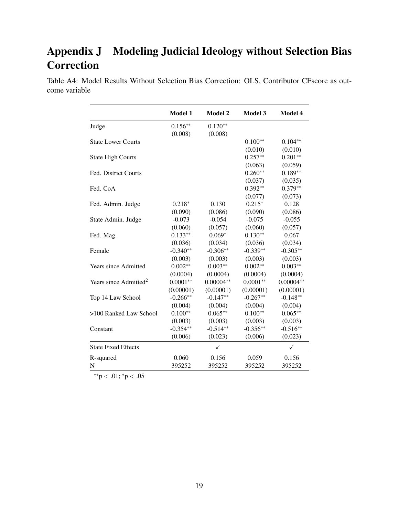# Appendix J Modeling Judicial Ideology without Selection Bias **Correction**

Table A4: Model Results Without Selection Bias Correction: OLS, Contributor CFscore as outcome variable

|                                   | <b>Model 1</b> | <b>Model 2</b> | <b>Model 3</b> | <b>Model 4</b> |
|-----------------------------------|----------------|----------------|----------------|----------------|
| Judge                             | $0.156**$      | $0.120**$      |                |                |
|                                   | (0.008)        | (0.008)        |                |                |
| <b>State Lower Courts</b>         |                |                | $0.100**$      | $0.104**$      |
|                                   |                |                | (0.010)        | (0.010)        |
| <b>State High Courts</b>          |                |                | $0.257**$      | $0.201**$      |
|                                   |                |                | (0.063)        | (0.059)        |
| Fed. District Courts              |                |                | $0.260**$      | $0.189**$      |
|                                   |                |                | (0.037)        | (0.035)        |
| Fed. CoA                          |                |                | $0.392**$      | $0.379**$      |
|                                   |                |                | (0.077)        | (0.073)        |
| Fed. Admin. Judge                 | $0.218*$       | 0.130          | $0.215*$       | 0.128          |
|                                   | (0.090)        | (0.086)        | (0.090)        | (0.086)        |
| State Admin. Judge                | $-0.073$       | $-0.054$       | $-0.075$       | $-0.055$       |
|                                   | (0.060)        | (0.057)        | (0.060)        | (0.057)        |
| Fed. Mag.                         | $0.133**$      | $0.069*$       | $0.130**$      | 0.067          |
|                                   | (0.036)        | (0.034)        | (0.036)        | (0.034)        |
| Female                            | $-0.340**$     | $-0.306**$     | $-0.339**$     | $-0.305**$     |
|                                   | (0.003)        | (0.003)        | (0.003)        | (0.003)        |
| <b>Years since Admitted</b>       | $0.002**$      | $0.003**$      | $0.002**$      | $0.003**$      |
|                                   | (0.0004)       | (0.0004)       | (0.0004)       | (0.0004)       |
| Years since Admitted <sup>2</sup> | $0.0001**$     | $0.00004**$    | $0.0001**$     | $0.00004**$    |
|                                   | (0.00001)      | (0.00001)      | (0.00001)      | (0.00001)      |
| Top 14 Law School                 | $-0.266**$     | $-0.147**$     | $-0.267**$     | $-0.148**$     |
|                                   | (0.004)        | (0.004)        | (0.004)        | (0.004)        |
| >100 Ranked Law School            | $0.100**$      | $0.065**$      | $0.100**$      | $0.065**$      |
|                                   | (0.003)        | (0.003)        | (0.003)        | (0.003)        |
| Constant                          | $-0.354**$     | $-0.514**$     | $-0.356**$     | $-0.516**$     |
|                                   | (0.006)        | (0.023)        | (0.006)        | (0.023)        |
| <b>State Fixed Effects</b>        |                | $\checkmark$   |                | ✓              |
| R-squared                         | 0.060          | 0.156          | 0.059          | 0.156          |
| N                                 | 395252         | 395252         | 395252         | 395252         |

∗∗p < .01; <sup>∗</sup>p < .05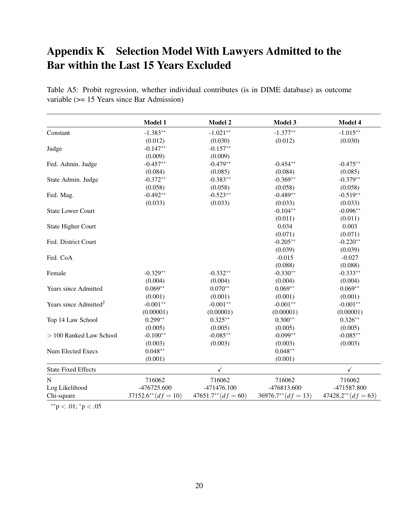### Appendix K Selection Model With Lawyers Admitted to the Bar within the Last 15 Years Excluded

| Model 1                  | <b>Model 2</b>                                                                                         | Model 3                                                          | Model 4                                                                                                                                                                                |
|--------------------------|--------------------------------------------------------------------------------------------------------|------------------------------------------------------------------|----------------------------------------------------------------------------------------------------------------------------------------------------------------------------------------|
| $-1.383**$               | $-1.021**$                                                                                             | $-1.377**$                                                       | $-1.015**$                                                                                                                                                                             |
|                          | (0.030)                                                                                                |                                                                  | (0.030)                                                                                                                                                                                |
| $-0.147**$               | $-0.157**$                                                                                             |                                                                  |                                                                                                                                                                                        |
| (0.009)                  | (0.009)                                                                                                |                                                                  |                                                                                                                                                                                        |
| $-0.457**$               | $-0.479**$                                                                                             | $-0.454**$                                                       | $-0.475**$                                                                                                                                                                             |
| (0.084)                  | (0.085)                                                                                                | (0.084)                                                          | (0.085)                                                                                                                                                                                |
| $-0.372**$               | $-0.383**$                                                                                             | $-0.369**$                                                       | $-0.379**$                                                                                                                                                                             |
| (0.058)                  | (0.058)                                                                                                | (0.058)                                                          | (0.058)                                                                                                                                                                                |
| $-0.492**$               | $-0.523**$                                                                                             | $-0.489**$                                                       | $-0.519**$                                                                                                                                                                             |
|                          |                                                                                                        |                                                                  | (0.033)                                                                                                                                                                                |
|                          |                                                                                                        | $-0.104**$                                                       | $-0.096**$                                                                                                                                                                             |
|                          |                                                                                                        |                                                                  | (0.011)                                                                                                                                                                                |
|                          |                                                                                                        |                                                                  | 0.003                                                                                                                                                                                  |
|                          |                                                                                                        |                                                                  | (0.071)                                                                                                                                                                                |
|                          |                                                                                                        |                                                                  | $-0.220**$                                                                                                                                                                             |
|                          |                                                                                                        |                                                                  | (0.039)                                                                                                                                                                                |
|                          |                                                                                                        | $-0.015$                                                         | $-0.027$                                                                                                                                                                               |
|                          |                                                                                                        |                                                                  | (0.088)                                                                                                                                                                                |
| $-0.329**$               | $-0.332**$                                                                                             |                                                                  | $-0.333**$                                                                                                                                                                             |
|                          |                                                                                                        |                                                                  | (0.004)                                                                                                                                                                                |
| $0.069**$                | $0.070**$                                                                                              |                                                                  | $0.069**$                                                                                                                                                                              |
|                          |                                                                                                        |                                                                  | (0.001)                                                                                                                                                                                |
| $-0.001**$               | $-0.001**$                                                                                             | $-0.001**$                                                       | $-0.001**$                                                                                                                                                                             |
|                          |                                                                                                        |                                                                  | (0.00001)                                                                                                                                                                              |
| $0.299**$                | $0.325**$                                                                                              | $0.300**$                                                        | $0.326**$                                                                                                                                                                              |
|                          |                                                                                                        |                                                                  | (0.005)                                                                                                                                                                                |
|                          | $-0.085**$                                                                                             | $-0.099**$                                                       | $-0.085**$                                                                                                                                                                             |
|                          |                                                                                                        |                                                                  | (0.003)                                                                                                                                                                                |
|                          |                                                                                                        |                                                                  |                                                                                                                                                                                        |
| (0.001)                  |                                                                                                        | (0.001)                                                          |                                                                                                                                                                                        |
|                          | $\checkmark$                                                                                           |                                                                  | $\checkmark$                                                                                                                                                                           |
| 716062                   | 716062                                                                                                 | 716062                                                           | 716062                                                                                                                                                                                 |
| -476725.600              | $-471476.100$                                                                                          | -476813.600                                                      | -471587.800                                                                                                                                                                            |
| $37152.6^{**} (df = 10)$ | $47651.7^{**} (df = 60)$                                                                               | $36976.7^{**} (df = 13)$                                         | $47428.2**$ $(df = 63)$                                                                                                                                                                |
|                          | (0.012)<br>(0.033)<br>(0.004)<br>(0.001)<br>(0.00001)<br>(0.005)<br>$-0.100**$<br>(0.003)<br>$0.048**$ | (0.033)<br>(0.004)<br>(0.001)<br>(0.00001)<br>(0.005)<br>(0.003) | (0.012)<br>(0.033)<br>(0.011)<br>0.034<br>(0.071)<br>$-0.205**$<br>(0.039)<br>(0.088)<br>$-0.330**$<br>(0.004)<br>$0.069**$<br>(0.001)<br>(0.00001)<br>(0.005)<br>(0.003)<br>$0.048**$ |

Table A5: Probit regression, whether individual contributes (is in DIME database) as outcome variable (>= 15 Years since Bar Admission)

 $*$ \* $p < .01$ ;  $*$  $p < .05$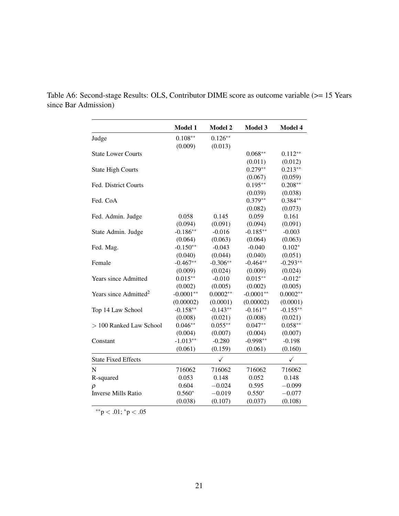|                                   | Model 1     | Model 2      | <b>Model 3</b> | Model 4    |
|-----------------------------------|-------------|--------------|----------------|------------|
| Judge                             | $0.108**$   | $0.126**$    |                |            |
|                                   | (0.009)     | (0.013)      |                |            |
| <b>State Lower Courts</b>         |             |              | $0.068**$      | $0.112**$  |
|                                   |             |              | (0.011)        | (0.012)    |
| <b>State High Courts</b>          |             |              | $0.279**$      | $0.213**$  |
|                                   |             |              | (0.067)        | (0.059)    |
| Fed. District Courts              |             |              | $0.195***$     | $0.208**$  |
|                                   |             |              | (0.039)        | (0.038)    |
| Fed. CoA                          |             |              | $0.379**$      | $0.384**$  |
|                                   |             |              | (0.082)        | (0.073)    |
| Fed. Admin. Judge                 | 0.058       | 0.145        | 0.059          | 0.161      |
|                                   | (0.094)     | (0.091)      | (0.094)        | (0.091)    |
| State Admin. Judge                | $-0.186**$  | $-0.016$     | $-0.185**$     | $-0.003$   |
|                                   | (0.064)     | (0.063)      | (0.064)        | (0.063)    |
| Fed. Mag.                         | $-0.150**$  | $-0.043$     | $-0.040$       | $0.102*$   |
|                                   | (0.040)     | (0.044)      | (0.040)        | (0.051)    |
| Female                            | $-0.467**$  | $-0.306**$   | $-0.464**$     | $-0.293**$ |
|                                   | (0.009)     | (0.024)      | (0.009)        | (0.024)    |
| <b>Years since Admitted</b>       | $0.015**$   | $-0.010$     | $0.015**$      | $-0.012*$  |
|                                   | (0.002)     | (0.005)      | (0.002)        | (0.005)    |
| Years since Admitted <sup>2</sup> | $-0.0001**$ | $0.0002**$   | $-0.0001**$    | $0.0002**$ |
|                                   | (0.00002)   | (0.0001)     | (0.00002)      | (0.0001)   |
| Top 14 Law School                 | $-0.158**$  | $-0.143**$   | $-0.161**$     | $-0.155**$ |
|                                   | (0.008)     | (0.021)      | (0.008)        | (0.021)    |
| > 100 Ranked Law School           | $0.046**$   | $0.055***$   | $0.047**$      | $0.058**$  |
|                                   | (0.004)     | (0.007)      | (0.004)        | (0.007)    |
| Constant                          | $-1.013**$  | $-0.280$     | $-0.998**$     | $-0.198$   |
|                                   | (0.061)     | (0.159)      | (0.061)        | (0.160)    |
| <b>State Fixed Effects</b>        |             | $\checkmark$ |                | ✓          |
| N                                 | 716062      | 716062       | 716062         | 716062     |
| R-squared                         | 0.053       | 0.148        | 0.052          | 0.148      |
| $\rho$                            | 0.604       | $-0.024$     | 0.595          | $-0.099$   |
| <b>Inverse Mills Ratio</b>        | $0.560*$    | $-0.019$     | $0.550*$       | $-0.077$   |
|                                   | (0.038)     | (0.107)      | (0.037)        | (0.108)    |

Table A6: Second-stage Results: OLS, Contributor DIME score as outcome variable (>= 15 Years since Bar Admission)

∗∗p < .01; <sup>∗</sup>p < .05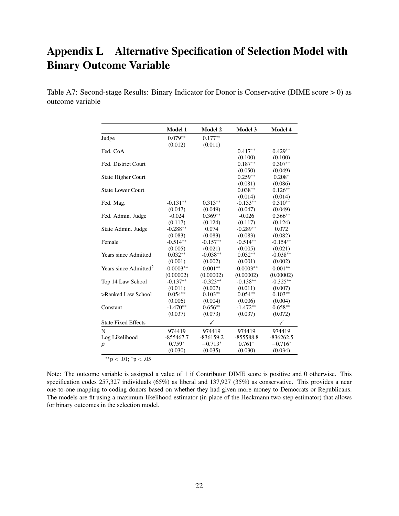### Appendix L Alternative Specification of Selection Model with Binary Outcome Variable

Table A7: Second-stage Results: Binary Indicator for Donor is Conservative (DIME score > 0) as outcome variable

|                                   | Model 1     | Model 2     | Model 3     | Model 4     |
|-----------------------------------|-------------|-------------|-------------|-------------|
| Judge                             | $0.079**$   | $0.177**$   |             |             |
|                                   | (0.012)     | (0.011)     |             |             |
| Fed. CoA                          |             |             | $0.417**$   | $0.429**$   |
|                                   |             |             | (0.100)     | (0.100)     |
| Fed. District Court               |             |             | $0.187**$   | $0.307**$   |
|                                   |             |             | (0.050)     | (0.049)     |
| <b>State Higher Court</b>         |             |             | $0.259**$   | $0.208*$    |
|                                   |             |             | (0.081)     | (0.086)     |
| <b>State Lower Court</b>          |             |             | $0.038**$   | $0.126**$   |
|                                   |             |             | (0.014)     | (0.014)     |
| Fed. Mag.                         | $-0.131**$  | $0.313**$   | $-0.133**$  | $0.310**$   |
|                                   | (0.047)     | (0.049)     | (0.047)     | (0.049)     |
| Fed. Admin. Judge                 | $-0.024$    | $0.369**$   | $-0.026$    | $0.366**$   |
|                                   | (0.117)     | (0.124)     | (0.117)     | (0.124)     |
| State Admin. Judge                | $-0.288**$  | 0.074       | $-0.289**$  | 0.072       |
|                                   | (0.083)     | (0.083)     | (0.083)     | (0.082)     |
| Female                            | $-0.514**$  | $-0.157**$  | $-0.514**$  | $-0.154**$  |
|                                   | (0.005)     | (0.021)     | (0.005)     | (0.021)     |
| <b>Years since Admitted</b>       | $0.032**$   | $-0.038**$  | $0.032**$   | $-0.038**$  |
|                                   | (0.001)     | (0.002)     | (0.001)     | (0.002)     |
| Years since Admitted <sup>2</sup> | $-0.0003**$ | $0.001**$   | $-0.0003**$ | $0.001**$   |
|                                   | (0.00002)   | (0.00002)   | (0.00002)   | (0.00002)   |
| Top 14 Law School                 | $-0.137**$  | $-0.323**$  | $-0.138**$  | $-0.325**$  |
|                                   | (0.011)     | (0.007)     | (0.011)     | (0.007)     |
| >Ranked Law School                | $0.054**$   | $0.103**$   | $0.054**$   | $0.103**$   |
|                                   | (0.006)     | (0.004)     | (0.006)     | (0.004)     |
| Constant                          | $-1.470**$  | $0.656**$   | $-1.472**$  | $0.658**$   |
|                                   | (0.037)     | (0.073)     | (0.037)     | (0.072)     |
| <b>State Fixed Effects</b>        |             | ✓           |             | ✓           |
| N                                 | 974419      | 974419      | 974419      | 974419      |
| Log Likelihood                    | $-855467.7$ | $-836159.2$ | $-855588.8$ | $-836262.5$ |
| $\rho$                            | $0.759*$    | $-0.713*$   | $0.761*$    | $-0.716*$   |
|                                   | (0.030)     | (0.035)     | (0.030)     | (0.034)     |
|                                   |             |             |             |             |

∗∗p < .01; <sup>∗</sup>p < .05

Note: The outcome variable is assigned a value of 1 if Contributor DIME score is positive and 0 otherwise. This specification codes 257,327 individuals (65%) as liberal and 137,927 (35%) as conservative. This provides a near one-to-one mapping to coding donors based on whether they had given more money to Democrats or Republicans. The models are fit using a maximum-likelihood estimator (in place of the Heckmann two-step estimator) that allows for binary outcomes in the selection model.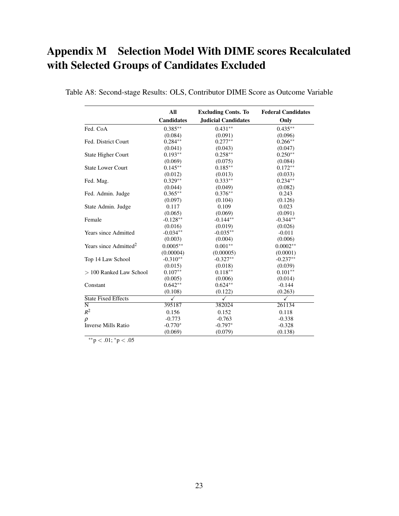## Appendix M Selection Model With DIME scores Recalculated with Selected Groups of Candidates Excluded

|                                   | All               | <b>Excluding Conts. To</b> | <b>Federal Candidates</b> |
|-----------------------------------|-------------------|----------------------------|---------------------------|
|                                   | <b>Candidates</b> | <b>Judicial Candidates</b> | Only                      |
| Fed. CoA                          | $0.385**$         | $0.431**$                  | $0.435**$                 |
|                                   | (0.084)           | (0.091)                    | (0.096)                   |
| Fed. District Court               | $0.284**$         | $0.277**$                  | $0.266**$                 |
|                                   | (0.041)           | (0.043)                    | (0.047)                   |
| <b>State Higher Court</b>         | $0.193**$         | $0.258**$                  | $0.250**$                 |
|                                   | (0.069)           | (0.075)                    | (0.084)                   |
| <b>State Lower Court</b>          | $0.145**$         | $0.185**$                  | $0.172**$                 |
|                                   | (0.012)           | (0.013)                    | (0.033)                   |
| Fed. Mag.                         | $0.329**$         | $0.333**$                  | $0.234**$                 |
|                                   | (0.044)           | (0.049)                    | (0.082)                   |
| Fed. Admin. Judge                 | $0.365**$         | $0.376**$                  | 0.243                     |
|                                   | (0.097)           | (0.104)                    | (0.126)                   |
| State Admin. Judge                | 0.117             | 0.109                      | 0.023                     |
|                                   | (0.065)           | (0.069)                    | (0.091)                   |
| Female                            | $-0.128**$        | $-0.144**$                 | $-0.344**$                |
|                                   | (0.016)           | (0.019)                    | (0.026)                   |
| <b>Years since Admitted</b>       | $-0.034**$        | $-0.035**$                 | $-0.011$                  |
|                                   | (0.003)           | (0.004)                    | (0.006)                   |
| Years since Admitted <sup>2</sup> | $0.0005**$        | $0.001**$                  | $0.0002**$                |
|                                   | (0.00004)         | (0.00005)                  | (0.0001)                  |
| Top 14 Law School                 | $-0.310**$        | $-0.327**$                 | $-0.237**$                |
|                                   | (0.015)           | (0.018)                    | (0.039)                   |
| $> 100$ Ranked Law School         | $0.107**$         | $0.118**$                  | $0.101**$                 |
|                                   | (0.005)           | (0.006)                    | (0.014)                   |
| Constant                          | $0.642**$         | $0.624**$                  | $-0.144$                  |
|                                   | (0.108)           | (0.122)                    | (0.263)                   |
| <b>State Fixed Effects</b>        | ✓                 | ✓                          | ✓                         |
| $\overline{\rm N}$                | 395187            | 382024                     | 261134                    |
| $R^2$                             | 0.156             | 0.152                      | 0.118                     |
| ρ                                 | $-0.773$          | $-0.763$                   | $-0.338$                  |
| Inverse Mills Ratio               | $-0.770*$         | $-0.797*$                  | $-0.328$                  |
|                                   | (0.069)           | (0.079)                    | (0.138)                   |

Table A8: Second-stage Results: OLS, Contributor DIME Score as Outcome Variable

∗∗p < .01; <sup>∗</sup>p < .05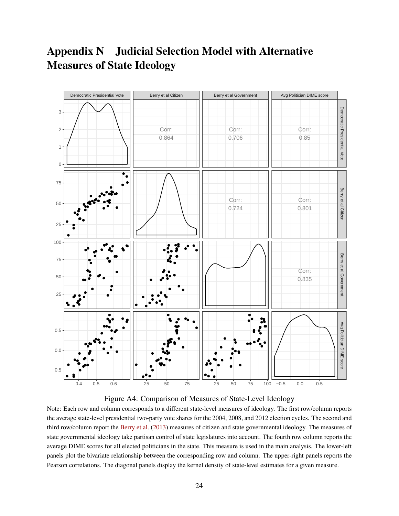### Appendix N Judicial Selection Model with Alternative Measures of State Ideology





Note: Each row and column corresponds to a different state-level measures of ideology. The first row/column reports the average state-level presidential two-party vote shares for the 2004, 2008, and 2012 election cycles. The second and third row/column report the [Berry et al.](#page-26-6) [\(2013\)](#page-26-6) measures of citizen and state governmental ideology. The measures of state governmental ideology take partisan control of state legislatures into account. The fourth row column reports the average DIME scores for all elected politicians in the state. This measure is used in the main analysis. The lower-left panels plot the bivariate relationship between the corresponding row and column. The upper-right panels reports the Pearson correlations. The diagonal panels display the kernel density of state-level estimates for a given measure.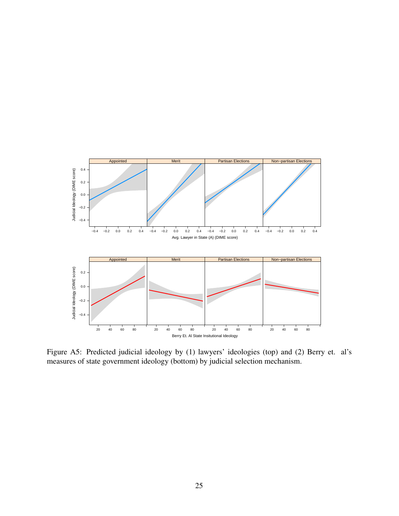

Figure A5: Predicted judicial ideology by (1) lawyers' ideologies (top) and (2) Berry et. al's measures of state government ideology (bottom) by judicial selection mechanism.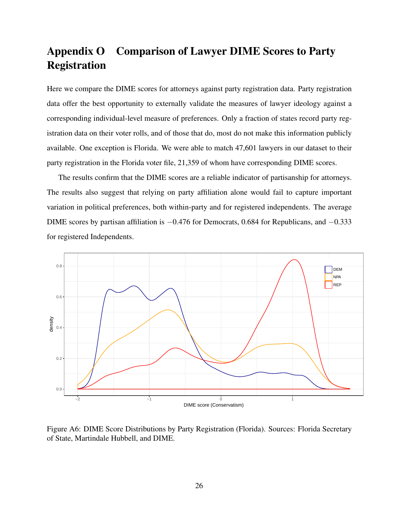### Appendix O Comparison of Lawyer DIME Scores to Party Registration

Here we compare the DIME scores for attorneys against party registration data. Party registration data offer the best opportunity to externally validate the measures of lawyer ideology against a corresponding individual-level measure of preferences. Only a fraction of states record party registration data on their voter rolls, and of those that do, most do not make this information publicly available. One exception is Florida. We were able to match 47,601 lawyers in our dataset to their party registration in the Florida voter file, 21,359 of whom have corresponding DIME scores.

The results confirm that the DIME scores are a reliable indicator of partisanship for attorneys. The results also suggest that relying on party affiliation alone would fail to capture important variation in political preferences, both within-party and for registered independents. The average DIME scores by partisan affiliation is −0.476 for Democrats, 0.684 for Republicans, and −0.333 for registered Independents.



Figure A6: DIME Score Distributions by Party Registration (Florida). Sources: Florida Secretary of State, Martindale Hubbell, and DIME.